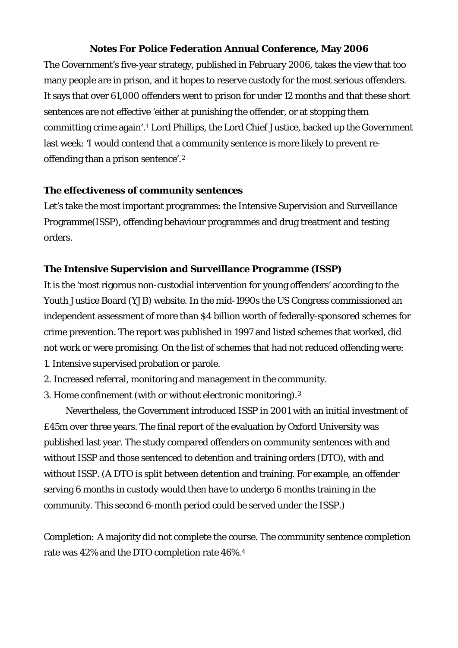# **Notes For Police Federation Annual Conference, May 2006**

The Government's five-year strategy, published in February 2006, takes the view that too many people are in prison, and it hopes to reserve custody for the most serious offenders. It says that over 61,000 offenders went to prison for under 12 months and that these short sentences are not effective 'either at punishing the offender, or at stopping them committing crime again'.[1](#page-4-0) Lord Phillips, the Lord Chief Justice, backed up the Government last week: 'I would contend that a community sentence is more likely to prevent reoffending than a prison sentence'.[2](#page-4-1)

## **The effectiveness of community sentences**

Let's take the most important programmes: the Intensive Supervision and Surveillance Programme(ISSP), offending behaviour programmes and drug treatment and testing orders.

## **The Intensive Supervision and Surveillance Programme (ISSP)**

It is the 'most rigorous non-custodial intervention for young offenders' according to the Youth Justice Board (YJB) website. In the mid-1990s the US Congress commissioned an independent assessment of more than \$4 billion worth of federally-sponsored schemes for crime prevention. The report was published in 1997 and listed schemes that worked, did not work or were promising. On the list of schemes that had not reduced offending were: 1. Intensive supervised probation or parole.

- 2. Increased referral, monitoring and management in the community.
- 3. Home confinement (with or without electronic monitoring).[3](#page-4-1)

 Nevertheless, the Government introduced ISSP in 2001 with an initial investment of £45m over three years. The final report of the evaluation by Oxford University was published last year. The study compared offenders on community sentences with and without ISSP and those sentenced to detention and training orders (DTO), with and without ISSP. (A DTO is split between detention and training. For example, an offender serving 6 months in custody would then have to undergo 6 months training in the community. This second 6-month period could be served under the ISSP.)

*Completion:* A majority did not complete the course. The community sentence completion rate was 42% and the DTO completion rate 46%.[4](#page-4-1)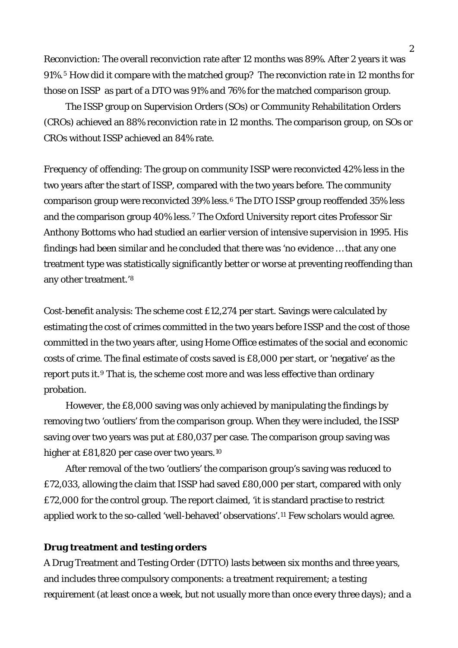*Reconviction*: The overall reconviction rate after 12 months was 89%. After 2 years it was 91%.[5](#page-4-1) How did it compare with the matched group? The reconviction rate in 12 months for those on ISSP as part of a DTO was 91% and 76% for the matched comparison group.

 The ISSP group on Supervision Orders (SOs) or Community Rehabilitation Orders (CROs) achieved an 88% reconviction rate in 12 months. The comparison group, on SOs or CROs without ISSP achieved an 84% rate.

*Frequency of offending*: The group on community ISSP were reconvicted 42% less in the two years after the start of ISSP, compared with the two years before. The community comparison group were reconvicted 39% less.[6](#page-4-1) The DTO ISSP group reoffended 35% less and the comparison group 40% less.[7](#page-4-1) The Oxford University report cites Professor Sir Anthony Bottoms who had studied an earlier version of intensive supervision in 1995. His findings had been similar and he concluded that there was 'no evidence … that any one treatment type was statistically significantly better or worse at preventing reoffending than any other treatment.'[8](#page-4-1)

*Cost-benefit analysis*: The scheme cost £12,274 per start. Savings were calculated by estimating the cost of crimes committed in the two years before ISSP and the cost of those committed in the two years after, using Home Office estimates of the social and economic costs of crime. The final estimate of costs saved is £8,000 per start, or 'negative' as the report puts it.[9](#page-4-1) That is, the scheme cost more and was less effective than ordinary probation.

 However, the £8,000 saving was only achieved by manipulating the findings by removing two 'outliers' from the comparison group. When they were included, the ISSP saving over two years was put at £80,037 per case. The comparison group saving was higher at £81,820 per case over two years.<sup>[10](#page-4-1)</sup>

 After removal of the two 'outliers' the comparison group's saving was reduced to £72,033, allowing the claim that ISSP had saved £80,000 per start, compared with only £72,000 for the control group. The report claimed, 'it is standard practise to restrict applied work to the so-called 'well-behaved' observations'.[11](#page-4-1) Few scholars would agree.

#### **Drug treatment and testing orders**

A Drug Treatment and Testing Order (DTTO) lasts between six months and three years, and includes three compulsory components: a treatment requirement; a testing requirement (at least once a week, but not usually more than once every three days); and a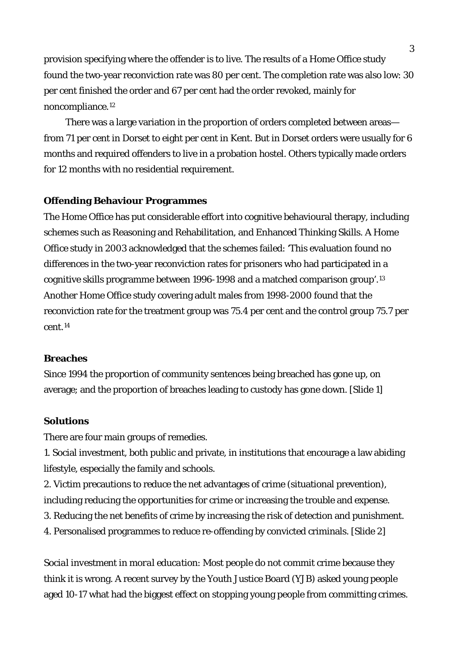provision specifying where the offender is to live. The results of a Home Office study found the two-year reconviction rate was 80 per cent. The completion rate was also low: 30 per cent finished the order and 67 per cent had the order revoked, mainly for noncompliance.[12](#page-4-1)

 There was a large variation in the proportion of orders completed between areas from 71 per cent in Dorset to eight per cent in Kent. But in Dorset orders were usually for 6 months and required offenders to live in a probation hostel. Others typically made orders for 12 months with no residential requirement.

## **Offending Behaviour Programmes**

The Home Office has put considerable effort into cognitive behavioural therapy, including schemes such as Reasoning and Rehabilitation, and Enhanced Thinking Skills. A Home Office study in 2003 acknowledged that the schemes failed: 'This evaluation found no differences in the two-year reconviction rates for prisoners who had participated in a cognitive skills programme between 1996-1998 and a matched comparison group'.[13](#page-4-1) Another Home Office study covering adult males from 1998-2000 found that the reconviction rate for the treatment group was 75.4 per cent and the control group 75.7 per cent.[14](#page-4-1)

## **Breaches**

Since 1994 the proportion of community sentences being breached has gone up, on average; and the proportion of breaches leading to custody has gone down. [Slide 1]

#### **Solutions**

There are four main groups of remedies.

1. Social investment, both public and private, in institutions that encourage a law abiding lifestyle, especially the family and schools.

- 2. Victim precautions to reduce the net advantages of crime (situational prevention), including reducing the opportunities for crime or increasing the trouble and expense.
- 3. Reducing the net benefits of crime by increasing the risk of detection and punishment.
- 4. Personalised programmes to reduce re-offending by convicted criminals. [Slide 2]

*Social investment in moral education*: Most people do not commit crime because they think it is wrong. A recent survey by the Youth Justice Board (YJB) asked young people aged 10-17 what had the biggest effect on stopping young people from committing crimes.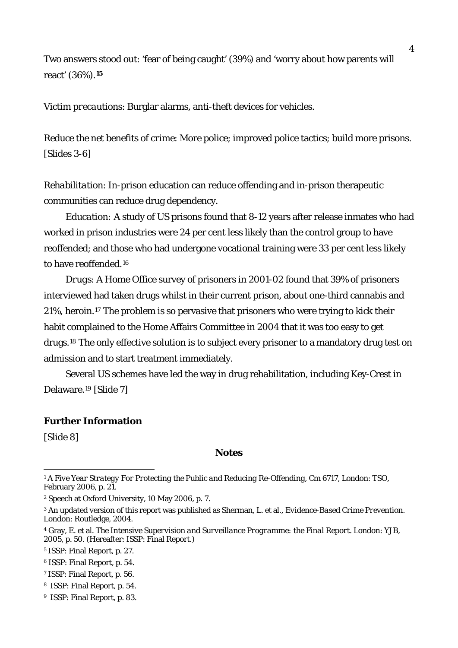Two answers stood out: 'fear of being caught' (39%) and 'worry about how parents will react' (36%).**[15](#page-4-1)**

*Victim precautions*: Burglar alarms, anti-theft devices for vehicles.

*Reduce the net benefits of crime*: More police; improved police tactics; build more prisons. [Slides 3-6]

*Rehabilitation*: In-prison education can reduce offending and in-prison therapeutic communities can reduce drug dependency.

*Education:* A study of US prisons found that 8-12 years after release inmates who had worked in prison industries were 24 per cent less likely than the control group to have reoffended; and those who had undergone vocational training were 33 per cent less likely to have reoffended.[16](#page-4-2)

*Drugs*: A Home Office survey of prisoners in 2001-02 found that 39% of prisoners interviewed had taken drugs whilst in their current prison, about one-third cannabis and 21%, heroin.[17](#page-4-3) The problem is so pervasive that prisoners who were trying to kick their habit complained to the Home Affairs Committee in 2004 that it was too easy to get drugs.[18](#page-4-4) The only effective solution is to subject every prisoner to a mandatory drug test on admission and to start treatment immediately.

 Several US schemes have led the way in drug rehabilitation, including Key-Crest in Delaware.[19](#page-4-5) [Slide 7]

### **Further Information**

[Slide 8]

 $\overline{a}$ 

## **Notes**

<sup>1</sup> *A Five Year Strategy For Protecting the Public and Reducing Re-Offending*, Cm 6717, London: TSO, February 2006, p. 21.

<sup>2</sup> Speech at Oxford University, 10 May 2006, p. 7.

<sup>3</sup> An updated version of this report was published as Sherman, L. et al., *Evidence-Based Crime Prevention*. London: Routledge, 2004.

<sup>4</sup> Gray, E. et al. *The Intensive Supervision and Surveillance Programme: the Final Report*. London: YJB, 2005, p. 50. (Hereafter: ISSP: Final Report.)

<sup>5</sup> ISSP: Final Report, p. 27.

<sup>6</sup> ISSP: Final Report, p. 54.

<sup>7</sup> ISSP: Final Report, p. 56.

<sup>8</sup> ISSP: Final Report, p. 54.

<sup>9</sup> ISSP: Final Report, p. 83.